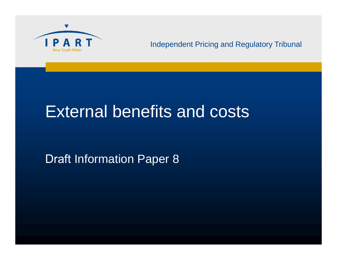

#### Independent Pricing and Regulatory Tribunal

# External benefits and costs

Draft Information Paper 8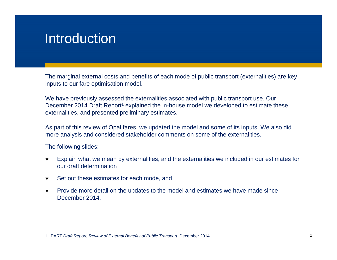#### Introduction

The marginal external costs and benefits of each mode of public transport (externalities) are key inputs to our fare optimisation model.

We have previously assessed the externalities associated with public transport use. Our December 2014 Draft Report<sup>1</sup> explained the in-house model we developed to estimate these externalities, and presented preliminary estimates.

As part of this review of Opal fares, we updated the model and some of its inputs. We also did more analysis and considered stakeholder comments on some of the externalities.

The following slides:

- ▼ Explain what we mean by externalities, and the externalities we included in our estimates for our draft determination
- $\blacktriangledown$ Set out these estimates for each mode, and
- $\blacktriangledown$  Provide more detail on the updates to the model and estimates we have made since December 2014.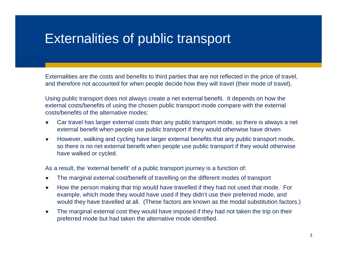### Externalities of public transport

Externalities are the costs and benefits to third parties that are not reflected in the price of travel, and therefore not accounted for when people decide how they will travel (their mode of travel).

Using public transport does not always create a net external benefit. It depends on how the external costs/benefits of using the chosen public transport mode compare with the external costs/benefits of the alternative modes:

- $\blacktriangledown$  Car travel has larger external costs than any public transport mode, so there is always a net external benefit when people use public transport if they would otherwise have driven
- $\blacktriangledown$  However, walking and cycling have larger external benefits that any public transport mode, so there is no net external benefit when people use public transport if they would otherwise have walked or cycled.

As a result, the 'external benefit' of a public transport journey is a function of:

- $\blacktriangledown$ The marginal external cost/benefit of travelling on the different modes of transport
- $\blacktriangledown$  How the person making that trip would have travelled if they had not used that mode. For example, which mode they would have used if they didn't use their preferred mode, and would they have travelled at all. (These factors are known as the modal substitution factors.)
- $\blacktriangledown$  The marginal external cost they would have imposed if they had not taken the trip on their preferred mode but had taken the alternative mode identified.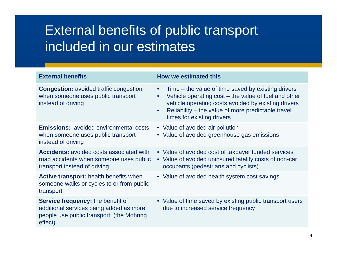## External benefits of public transport included in our estimates

| <b>External benefits</b>                                                                                                                   | <b>How we estimated this</b>                                                                                                                                                                                                                                                                   |
|--------------------------------------------------------------------------------------------------------------------------------------------|------------------------------------------------------------------------------------------------------------------------------------------------------------------------------------------------------------------------------------------------------------------------------------------------|
| <b>Congestion:</b> avoided traffic congestion<br>when someone uses public transport<br>instead of driving                                  | Time – the value of time saved by existing drivers<br>$\bullet$<br>Vehicle operating $cost - the value of fuel$ and other<br>$\bullet$<br>vehicle operating costs avoided by existing drivers<br>Reliability – the value of more predictable travel<br>$\bullet$<br>times for existing drivers |
| <b>Emissions:</b> avoided environmental costs<br>when someone uses public transport<br>instead of driving                                  | • Value of avoided air pollution<br>• Value of avoided greenhouse gas emissions                                                                                                                                                                                                                |
| <b>Accidents:</b> avoided costs associated with<br>road accidents when someone uses public<br>transport instead of driving                 | • Value of avoided cost of taxpayer funded services<br>• Value of avoided uninsured fatality costs of non-car<br>occupants (pedestrians and cyclists)                                                                                                                                          |
| <b>Active transport:</b> health benefits when<br>someone walks or cycles to or from public<br>transport                                    | • Value of avoided health system cost savings                                                                                                                                                                                                                                                  |
| <b>Service frequency: the benefit of</b><br>additional services being added as more<br>people use public transport (the Mohring<br>effect) | • Value of time saved by existing public transport users<br>due to increased service frequency                                                                                                                                                                                                 |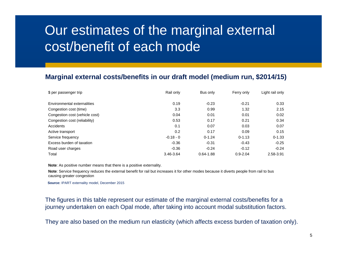## Our estimates of the marginal external cost/benefit of each mode

#### **Marginal external costs/benefits in our draft model (medium run, \$2014/15)**

| \$ per passenger trip          | Rail only   | Bus only      | Ferry only   | Light rail only |
|--------------------------------|-------------|---------------|--------------|-----------------|
| Environmental externalities    | 0.19        | $-0.23$       | $-0.21$      | 0.33            |
| Congestion cost (time)         | 3.3         | 0.99          | 1.32         | 2.15            |
| Congestion cost (vehicle cost) | 0.04        | 0.01          | 0.01         | 0.02            |
| Congestion cost (reliability)  | 0.53        | 0.17          | 0.21         | 0.34            |
| Accidents                      | 0.1         | 0.07          | 0.03         | 0.07            |
| Active transport               | 0.2         | 0.17          | 0.09         | 0.15            |
| Service frequency              | $-0.18 - 0$ | $0 - 1.24$    | $0 - 1.13$   | $0 - 1.33$      |
| Excess burden of taxation      | $-0.36$     | $-0.31$       | $-0.43$      | $-0.25$         |
| Road user charges              | $-0.36$     | $-0.24$       | $-0.12$      | $-0.24$         |
| Total                          | 3.46-3.64   | $0.64 - 1.88$ | $0.9 - 2.04$ | 2.58-3.91       |

**Note**: As positive number means that there is a positive externality.

**Note**: Service frequency reduces the external benefit for rail but increases it for other modes because it diverts people from rail to bus causing greater congestion

**Source:** IPART externality model, December 2015

The figures in this table represent our estimate of the marginal external costs/benefits for a journey undertaken on each Opal mode, after taking into account modal substitution factors.

They are also based on the medium run elasticity (which affects excess burden of taxation only).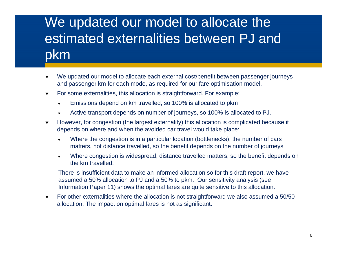## We updated our model to allocate the estimated externalities between PJ and pkm

- ▼ We updated our model to allocate each external cost/benefit between passenger journeys and passenger km for each mode, as required for our fare optimisation model.
- $\blacktriangledown$  For some externalities, this allocation is straightforward. For example:
	- ▼ Emissions depend on km travelled, so 100% is allocated to pkm
	- ▼ Active transport depends on number of journeys, so 100% is allocated to PJ.
- $\blacktriangledown$  However, for congestion (the largest externality) this allocation is complicated because it depends on where and when the avoided car travel would take place:
	- $\blacktriangledown$  Where the congestion is in a particular location (bottlenecks), the number of cars matters, not distance travelled, so the benefit depends on the number of journeys
	- ▼ Where congestion is widespread, distance travelled matters, so the benefit depends on the km travelled.

There is insufficient data to make an informed allocation so for this draft report, we have assumed a 50% allocation to PJ and a 50% to pkm. Our sensitivity analysis (see Information Paper 11) shows the optimal fares are quite sensitive to this allocation.

 $\blacktriangledown$  For other externalities where the allocation is not straightforward we also assumed a 50/50 allocation. The impact on optimal fares is not as significant.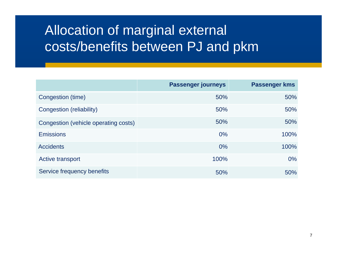## Allocation of marginal external costs/benefits between PJ and pkm

|                                      | <b>Passenger journeys</b> | <b>Passenger kms</b> |
|--------------------------------------|---------------------------|----------------------|
| Congestion (time)                    | 50%                       | 50%                  |
| Congestion (reliability)             | 50%                       | 50%                  |
| Congestion (vehicle operating costs) | 50%                       | 50%                  |
| <b>Emissions</b>                     | $0\%$                     | 100%                 |
| <b>Accidents</b>                     | $0\%$                     | 100%                 |
| Active transport                     | 100%                      | $0\%$                |
| Service frequency benefits           | 50%                       | 50%                  |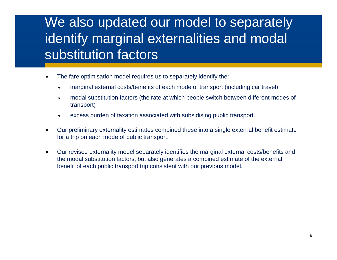## We also updated our model to separately identify marginal externalities and modal substitution factors

- ▼ The fare optimisation model requires us to separately identify the:
	- $\blacktriangledown$ marginal external costs/benefits of each mode of transport (including car travel)
	- $\blacktriangledown$  modal substitution factors (the rate at which people switch between different modes of transport)
	- ▼ excess burden of taxation associated with subsidising public transport.
- $\blacktriangledown$  Our preliminary externality estimates combined these into a single external benefit estimate for a trip on each mode of public transport.
- $\blacktriangledown$  Our revised externality model separately identifies the marginal external costs/benefits and the modal substitution factors, but also generates a combined estimate of the external benefit of each public transport trip consistent with our previous model.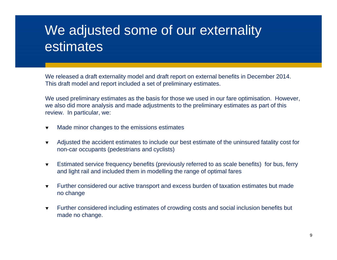## We adjusted some of our externality estimates

We released a draft externality model and draft report on external benefits in December 2014. This draft model and report included a set of preliminary estimates.

We used preliminary estimates as the basis for those we used in our fare optimisation. However, we also did more analysis and made adjustments to the preliminary estimates as part of this review. In particular, we:

- $\blacktriangledown$ Made minor changes to the emissions estimates
- $\blacktriangledown$  Adjusted the accident estimates to include our best estimate of the uninsured fatality cost for non-car occupants (pedestrians and cyclists)
- $\blacktriangledown$  Estimated service frequency benefits (previously referred to as scale benefits) for bus, ferry and light rail and included them in modelling the range of optimal fares
- $\blacktriangledown$  Further considered our active transport and excess burden of taxation estimates but made no change
- $\blacktriangledown$  Further considered including estimates of crowding costs and social inclusion benefits but made no change.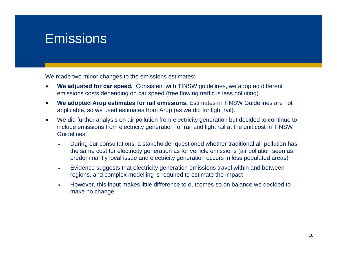#### **Emissions**

We made two minor changes to the emissions estimates:

- ▼ **We adjusted for car speed.** Consistent with TfNSW guidelines, we adopted different emissions costs depending on car speed (free flowing traffic is less polluting).
- $\blacktriangledown$  **We adopted Arup estimates for rail emissions.** Estimates in TfNSW Guidelines are not applicable, so we used estimates from Arup (as we did for light rail).
- $\blacktriangledown$  We did further analysis on air pollution from electricity generation but decided to continue to include emissions from electricity generation for rail and light rail at the unit cost in TfNSW Guidelines:
	- ▼ During our consultations, a stakeholder questioned whether traditional air pollution has the same cost for electricity generation as for vehicle emissions (air pollution seen as predominantly local issue and electricity generation occurs in less populated areas)
	- $\blacktriangledown$  Evidence suggests that electricity generation emissions travel within and between regions, and complex modelling is required to estimate the impact
	- $\blacktriangledown$  However, this input makes little difference to outcomes so on balance we decided to make no change.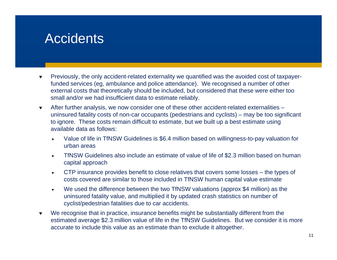### **Accidents**

- ▼ Previously, the only accident-related externality we quantified was the avoided cost of taxpayerfunded services (eg, ambulance and police attendance). We recognised a number of other external costs that theoretically should be included, but considered that these were either too small and/or we had insufficient data to estimate reliably.
- $\blacktriangledown$  After further analysis, we now consider one of these other accident-related externalities – uninsured fatality costs of non-car occupants (pedestrians and cyclists) – may be too significant to ignore. These costs remain difficult to estimate, but we built up a best estimate using available data as follows:
	- ▼ Value of life in TfNSW Guidelines is \$6.4 million based on willingness-to-pay valuation for urban areas
	- $\blacktriangledown$  TfNSW Guidelines also include an estimate of value of life of \$2.3 million based on human capital approach
	- $\blacktriangledown$  CTP insurance provides benefit to close relatives that covers some losses – the types of costs covered are similar to those included in TfNSW human capital value estimate
	- $\blacktriangledown$  We used the difference between the two TfNSW valuations (approx \$4 million) as the uninsured fatality value, and multiplied it by updated crash statistics on number of cyclist/pedestrian fatalities due to car accidents.
- ▼ We recognise that in practice, insurance benefits might be substantially different from the estimated average \$2.3 million value of life in the TfNSW Guidelines. But we consider it is more accurate to include this value as an estimate than to exclude it altogether.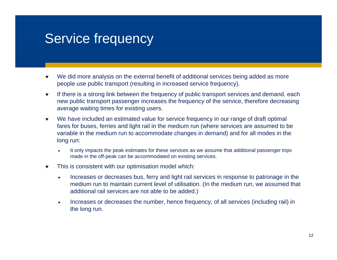### Service frequency

- ▼ We did more analysis on the external benefit of additional services being added as more people use public transport (resulting in increased service frequency).
- $\blacktriangledown$  If there is a strong link between the frequency of public transport services and demand, each new public transport passenger increases the frequency of the service, therefore decreasing average waiting times for existing users.
- $\blacktriangledown$  We have included an estimated value for service frequency in our range of draft optimal fares for buses, ferries and light rail in the medium run (where services are assumed to be variable in the medium run to accommodate changes in demand) and for all modes in the long run:
	- ▼ It only impacts the peak estimates for these services as we assume that additional passenger trips made in the off-peak can be accommodated on existing services.
- ▼ This is consistent with our optimisation model which:
	- ▼ Increases or decreases bus, ferry and light rail services in response to patronage in the medium run to maintain current level of utilisation. (In the medium run, we assumed that additional rail services are not able to be added.)
	- $\blacktriangledown$  Increases or decreases the number, hence frequency, of all services (including rail) in the long run.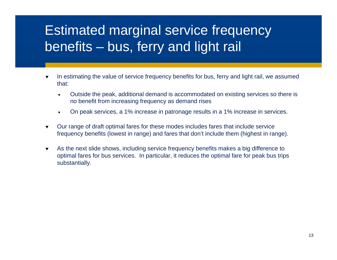## Estimated marginal service frequency benefits – bus, ferry and light rail

- ▼ In estimating the value of service frequency benefits for bus, ferry and light rail, we assumed that:
	- ▼ Outside the peak, additional demand is accommodated on existing services so there is no benefit from increasing frequency as demand rises
	- ▼ On peak services, a 1% increase in patronage results in a 1% increase in services.
- $\blacktriangledown$  Our range of draft optimal fares for these modes includes fares that include service frequency benefits (lowest in range) and fares that don't include them (highest in range).
- $\blacktriangledown$  As the next slide shows, including service frequency benefits makes a big difference to optimal fares for bus services. In particular, it reduces the optimal fare for peak bus trips substantially.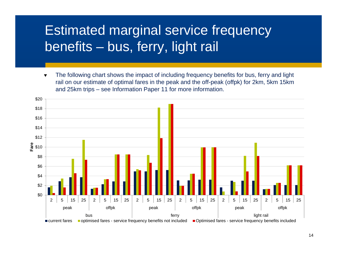## Estimated marginal service frequency benefits – bus, ferry, light rail

 $\blacktriangledown$  The following chart shows the impact of including frequency benefits for bus, ferry and light rail on our estimate of optimal fares in the peak and the off-peak (offpk) for 2km, 5km 15km and 25km trips – see Information Paper 11 for more information.

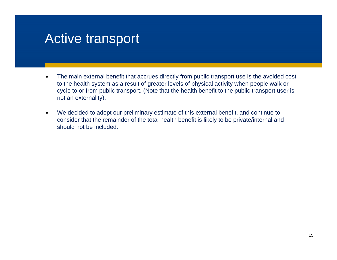### Active transport

- ▼ The main external benefit that accrues directly from public transport use is the avoided cost to the health system as a result of greater levels of physical activity when people walk or cycle to or from public transport. (Note that the health benefit to the public transport user is not an externality).
- $\blacktriangledown$  We decided to adopt our preliminary estimate of this external benefit, and continue to consider that the remainder of the total health benefit is likely to be private/internal and should not be included.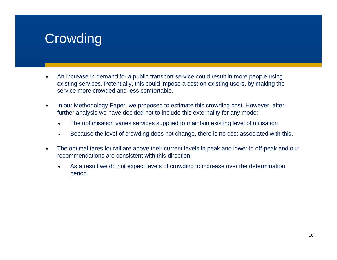## **Crowding**

- ▼ An increase in demand for a public transport service could result in more people using existing services. Potentially, this could impose a cost on existing users, by making the service more crowded and less comfortable.
- $\blacktriangledown$  In our Methodology Paper, we proposed to estimate this crowding cost. However, after further analysis we have decided not to include this externality for any mode:
	- ▼ The optimisation varies services supplied to maintain existing level of utilisation
	- $\blacktriangledown$ Because the level of crowding does not change, there is no cost associated with this.
- $\blacktriangledown$  The optimal fares for rail are above their current levels in peak and lower in off-peak and our recommendations are consistent with this direction:
	- ▼ As a result we do not expect levels of crowding to increase over the determination period.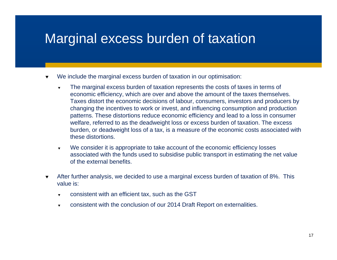#### Marginal excess burden of taxation

- ▼ We include the marginal excess burden of taxation in our optimisation:
	- ▼ The marginal excess burden of taxation represents the costs of taxes in terms of economic efficiency, which are over and above the amount of the taxes themselves. Taxes distort the economic decisions of labour, consumers, investors and producers by changing the incentives to work or invest, and influencing consumption and production patterns. These distortions reduce economic efficiency and lead to a loss in consumer welfare, referred to as the deadweight loss or excess burden of taxation. The excess burden, or deadweight loss of a tax, is a measure of the economic costs associated with these distortions.
	- $\blacktriangledown$  We consider it is appropriate to take account of the economic efficiency losses associated with the funds used to subsidise public transport in estimating the net value of the external benefits.
- ▼ After further analysis, we decided to use a marginal excess burden of taxation of 8%. This value is:
	- ▼ consistent with an efficient tax, such as the GST
	- $\overline{\mathbf{v}}$ consistent with the conclusion of our 2014 Draft Report on externalities.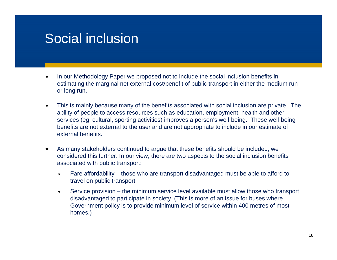#### Social inclusion

- ▼ In our Methodology Paper we proposed not to include the social inclusion benefits in estimating the marginal net external cost/benefit of public transport in either the medium run or long run.
- $\blacktriangledown$  This is mainly because many of the benefits associated with social inclusion are private. The ability of people to access resources such as education, employment, health and other services (eg, cultural, sporting activities) improves a person's well-being. These well-being benefits are not external to the user and are not appropriate to include in our estimate of external benefits.
- $\blacktriangledown$  As many stakeholders continued to argue that these benefits should be included, we considered this further. In our view, there are two aspects to the social inclusion benefits associated with public transport:
	- ▼ Fare affordability – those who are transport disadvantaged must be able to afford to travel on public transport
	- $\blacktriangledown$  Service provision – the minimum service level available must allow those who transport disadvantaged to participate in society. (This is more of an issue for buses where Government policy is to provide minimum level of service within 400 metres of most homes.)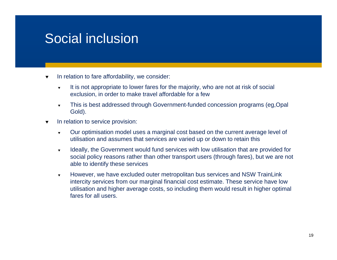### Social inclusion

- ▼ In relation to fare affordability, we consider:
	- ▼ It is not appropriate to lower fares for the majority, who are not at risk of social exclusion, in order to make travel affordable for a few
	- $\blacktriangledown$  This is best addressed through Government-funded concession programs (eg,Opal Gold).
- $\blacktriangledown$  In relation to service provision:
	- $\overline{\mathbf{v}}$  Our optimisation model uses a marginal cost based on the current average level of utilisation and assumes that services are varied up or down to retain this
	- $\blacktriangledown$  Ideally, the Government would fund services with low utilisation that are provided for social policy reasons rather than other transport users (through fares), but we are not able to identify these services
	- $\blacktriangledown$  However, we have excluded outer metropolitan bus services and NSW TrainLink intercity services from our marginal financial cost estimate. These service have low utilisation and higher average costs, so including them would result in higher optimal fares for all users.